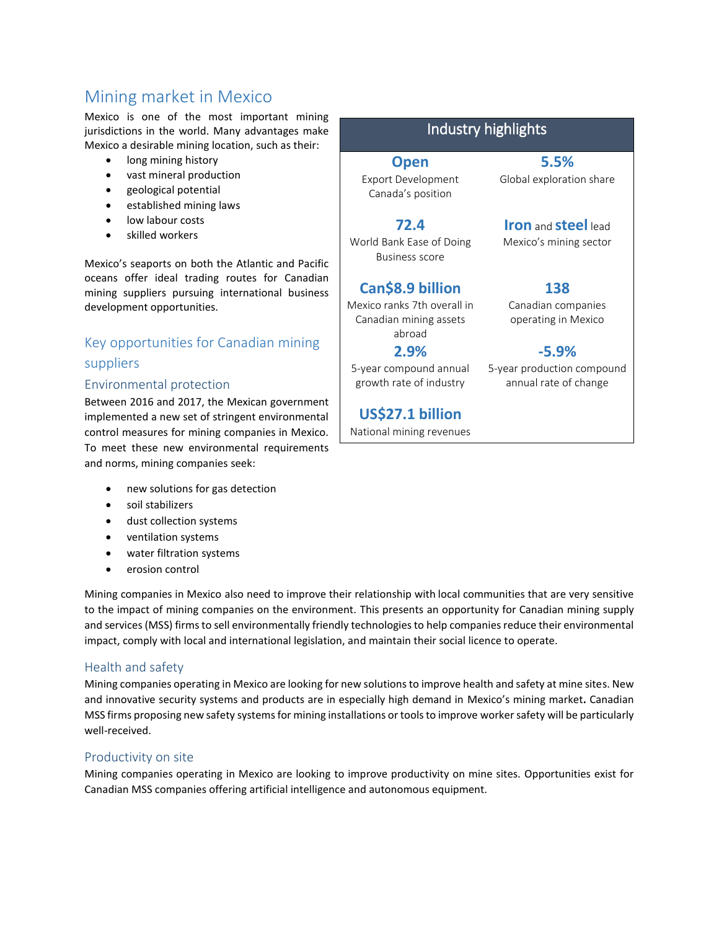# Mining market in Mexico

Mexico is one of the most important mining jurisdictions in the world. Many advantages make Mexico a desirable mining location, such as their:

- long mining history
- vast mineral production
- geological potential
- established mining laws
- low labour costs
- skilled workers

Mexico's seaports on both the Atlantic and Pacific oceans offer ideal trading routes for Canadian mining suppliers pursuing international business development opportunities.

## Key opportunities for Canadian mining suppliers

#### Environmental protection

Between 2016 and 2017, the Mexican government implemented a new set of stringent environmental control measures for mining companies in Mexico. To meet these new environmental requirements and norms, mining companies seek:

- new solutions for gas detection
- soil stabilizers
- dust collection systems
- ventilation systems
- water filtration systems
- erosion control

Mining companies in Mexico also need to improve their relationship with local communities that are very sensitive to the impact of mining companies on the environment. This presents an opportunity for Canadian mining supply and services (MSS) firms to sell environmentally friendly technologies to help companies reduce their environmental impact, comply with local and international legislation, and maintain their social licence to operate.

#### Health and safety

Mining companies operating in Mexico are looking for new solutions to improve health and safety at mine sites. New and innovative security systems and products are in especially high demand in Mexico's mining market**.** Canadian MSS firms proposing new safety systems for mining installations or tools to improve worker safety will be particularly well-received.

#### Productivity on site

Mining companies operating in Mexico are looking to improve productivity on mine sites. Opportunities exist for Canadian MSS companies offering artificial intelligence and autonomous equipment.

## Industry highlights

# **Open**

# **5.5%**

Export Development Canada's position

#### **72.4**

World Bank Ease of Doing Business score

## **Can\$8.9 billion**

Mexico ranks 7th overall in Canadian mining assets abroad

**2.9%**

5-year compound annual growth rate of industry

### **US\$27.1 billion**

National mining revenues

Global exploration share

# **Iron** and **steel** lead

Mexico's mining sector

## **138**

Canadian companies operating in Mexico

#### **-5.9%**

5-year production compound annual rate of change